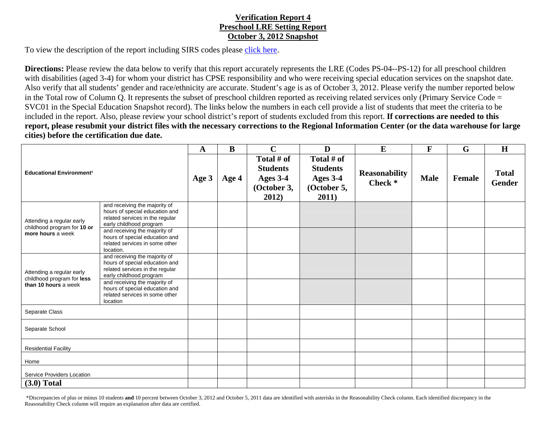## **Verification Report 4 Preschool LRE Setting Report October 3, 2012 Snapshot**

To view the description of the report including SIRS codes please click here.

**Directions:** Please review the data below to verify that this report accurately represents the LRE (Codes PS-04--PS-12) for all preschool children with disabilities (aged 3-4) for whom your district has CPSE responsibility and who were receiving special education services on the snapshot date. Also verify that all students' gender and race/ethnicity are accurate. Student's age is as of October 3, 2012. Please verify the number reported below in the Total row of Column Q. It represents the subset of preschool children reported as receiving related services only (Primary Service Code = SVC01 in the Special Education Snapshot record). The links below the numbers in each cell provide a list of students that meet the criteria to be included in the report. Also, please review your school district's report of students excluded from this report. **If corrections are needed to this report, please resubmit your district files with the necessary corrections to the Regional Information Center (or the data warehouse for large cities) before the certification due date.**

| <b>Educational Environment<sup>1</sup></b>                                      |                                                                                                                               | $\mathbf{A}$ | B     | $\mathbf C$                                                       | D                                                                 | E                                          | $\mathbf{F}$ | G             | H                      |
|---------------------------------------------------------------------------------|-------------------------------------------------------------------------------------------------------------------------------|--------------|-------|-------------------------------------------------------------------|-------------------------------------------------------------------|--------------------------------------------|--------------|---------------|------------------------|
|                                                                                 |                                                                                                                               | Age 3        | Age 4 | Total # of<br><b>Students</b><br>Ages 3-4<br>(October 3,<br>2012) | Total # of<br><b>Students</b><br>Ages 3-4<br>(October 5,<br>2011) | <b>Reasonability</b><br>Check <sup>*</sup> | <b>Male</b>  | <b>Female</b> | <b>Total</b><br>Gender |
| Attending a regular early<br>childhood program for 10 or<br>more hours a week   | and receiving the majority of<br>hours of special education and<br>related services in the regular<br>early childhood program |              |       |                                                                   |                                                                   |                                            |              |               |                        |
|                                                                                 | and receiving the majority of<br>hours of special education and<br>related services in some other<br>location.                |              |       |                                                                   |                                                                   |                                            |              |               |                        |
| Attending a regular early<br>childhood program for less<br>than 10 hours a week | and receiving the majority of<br>hours of special education and<br>related services in the regular<br>early childhood program |              |       |                                                                   |                                                                   |                                            |              |               |                        |
|                                                                                 | and receiving the majority of<br>hours of special education and<br>related services in some other<br>location                 |              |       |                                                                   |                                                                   |                                            |              |               |                        |
| Separate Class                                                                  |                                                                                                                               |              |       |                                                                   |                                                                   |                                            |              |               |                        |
| Separate School                                                                 |                                                                                                                               |              |       |                                                                   |                                                                   |                                            |              |               |                        |
| <b>Residential Facility</b>                                                     |                                                                                                                               |              |       |                                                                   |                                                                   |                                            |              |               |                        |
| Home                                                                            |                                                                                                                               |              |       |                                                                   |                                                                   |                                            |              |               |                        |
| Service Providers Location                                                      |                                                                                                                               |              |       |                                                                   |                                                                   |                                            |              |               |                        |
| $(3.0)$ Total                                                                   |                                                                                                                               |              |       |                                                                   |                                                                   |                                            |              |               |                        |

 \*Discrepancies of plus or minus 10 students **and** 10 percent between October 3, 2012 and October 5, 2011 data are identified with asterisks in the Reasonability Check column. Each identified discrepancy in the Reasonability Check column will require an explanation after data are certified.